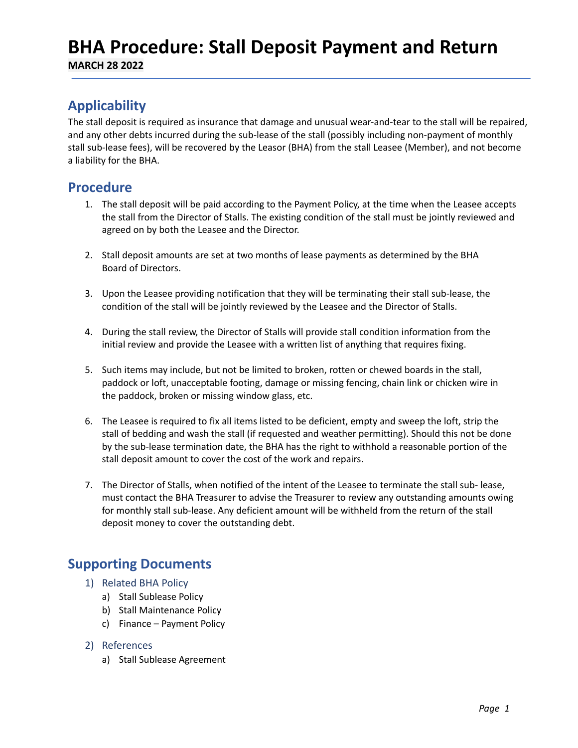## **BHA Procedure: Stall Deposit Payment and Return**

**MARCH 28 2022**

## **Applicability**

The stall deposit is required as insurance that damage and unusual wear-and-tear to the stall will be repaired, and any other debts incurred during the sub-lease of the stall (possibly including non-payment of monthly stall sub-lease fees), will be recovered by the Leasor (BHA) from the stall Leasee (Member), and not become a liability for the BHA.

### **Procedure**

- 1. The stall deposit will be paid according to the Payment Policy, at the time when the Leasee accepts the stall from the Director of Stalls. The existing condition of the stall must be jointly reviewed and agreed on by both the Leasee and the Director.
- 2. Stall deposit amounts are set at two months of lease payments as determined by the BHA Board of Directors.
- 3. Upon the Leasee providing notification that they will be terminating their stall sub-lease, the condition of the stall will be jointly reviewed by the Leasee and the Director of Stalls.
- 4. During the stall review, the Director of Stalls will provide stall condition information from the initial review and provide the Leasee with a written list of anything that requires fixing.
- 5. Such items may include, but not be limited to broken, rotten or chewed boards in the stall, paddock or loft, unacceptable footing, damage or missing fencing, chain link or chicken wire in the paddock, broken or missing window glass, etc.
- 6. The Leasee is required to fix all items listed to be deficient, empty and sweep the loft, strip the stall of bedding and wash the stall (if requested and weather permitting). Should this not be done by the sub-lease termination date, the BHA has the right to withhold a reasonable portion of the stall deposit amount to cover the cost of the work and repairs.
- 7. The Director of Stalls, when notified of the intent of the Leasee to terminate the stall sub- lease, must contact the BHA Treasurer to advise the Treasurer to review any outstanding amounts owing for monthly stall sub-lease. Any deficient amount will be withheld from the return of the stall deposit money to cover the outstanding debt.

## **Supporting Documents**

- 1) Related BHA Policy
	- a) Stall Sublease Policy
	- b) Stall Maintenance Policy
	- c) Finance Payment Policy

#### 2) References

a) Stall Sublease Agreement